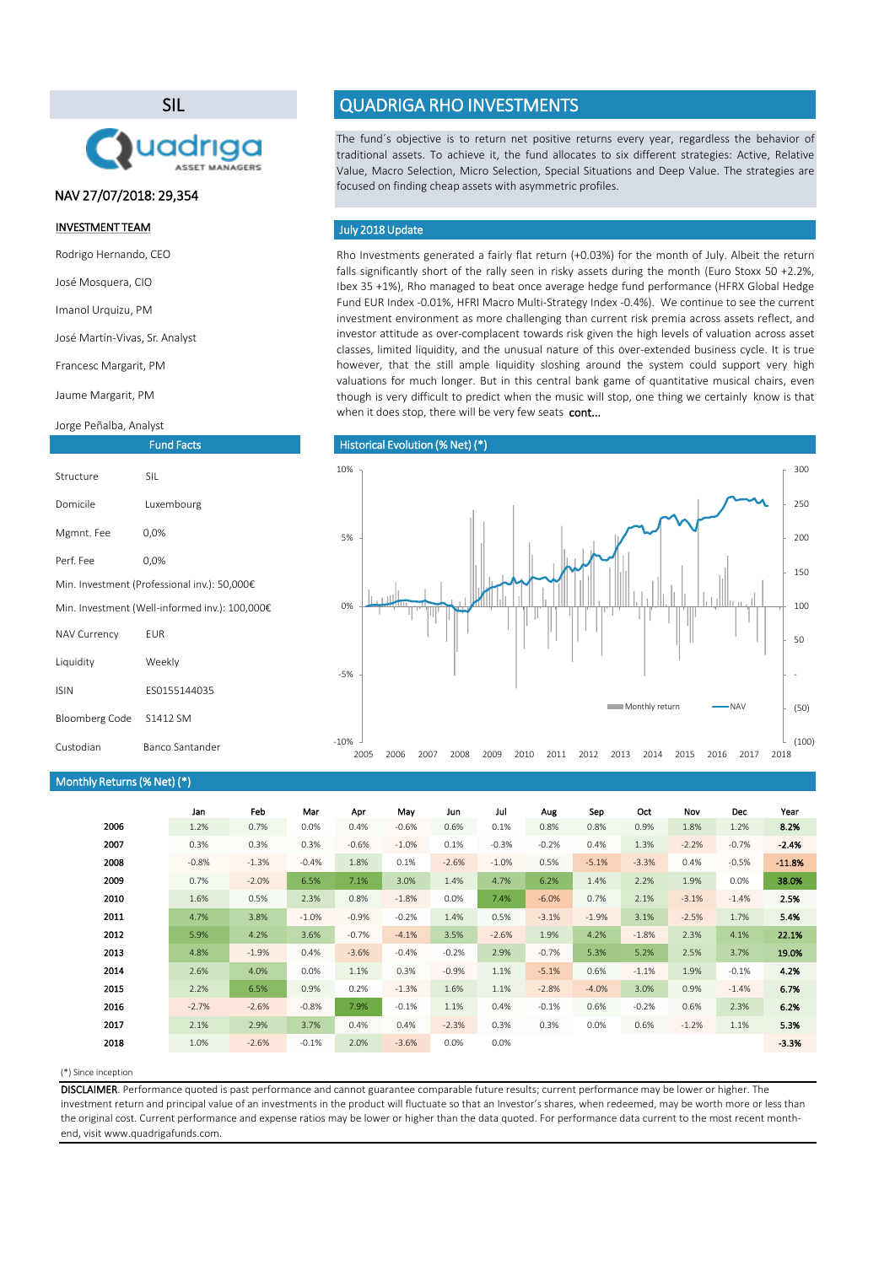Rho Investments generated a fairly flat return (+0.03%) for the month of July. Albeit the return falls significantly short of the rally seen in risky assets during the month (Euro Stoxx 50 +2.2%, Ibex 35 +1%), Rho managed to beat once average hedge fund performance (HFRX Global Hedge Fund EUR Index -0.01%, HFRI Macro Multi-Strategy Index -0.4%). We continue to see the current investment environment as more challenging than current risk premia across assets reflect, and investor attitude as over-complacent towards risk given the high levels of valuation across asset classes, limited liquidity, and the unusual nature of this over-extended business cycle. It is true however, that the still ample liquidity sloshing around the system could support very high valuations for much longer. But in this central bank game of quantitative musical chairs, even though is very difficult to predict when the music will stop, one thing we certainly know is that when it does stop, there will be very few seats cont...

#### (\*) Since inception

|      | Jan     | Feb     | Mar     | Apr     | May     | Jun     | Jul     | Aug     | Sep     | Oct     | <b>Nov</b> | <b>Dec</b> | Year     |
|------|---------|---------|---------|---------|---------|---------|---------|---------|---------|---------|------------|------------|----------|
| 2006 | 1.2%    | 0.7%    | 0.0%    | 0.4%    | $-0.6%$ | 0.6%    | 0.1%    | 0.8%    | 0.8%    | 0.9%    | 1.8%       | 1.2%       | 8.2%     |
| 2007 | 0.3%    | 0.3%    | 0.3%    | $-0.6%$ | $-1.0%$ | 0.1%    | $-0.3%$ | $-0.2%$ | 0.4%    | 1.3%    | $-2.2%$    | $-0.7%$    | $-2.4%$  |
| 2008 | $-0.8%$ | $-1.3%$ | $-0.4%$ | 1.8%    | 0.1%    | $-2.6%$ | $-1.0%$ | 0.5%    | $-5.1%$ | $-3.3%$ | 0.4%       | $-0.5%$    | $-11.8%$ |
| 2009 | 0.7%    | $-2.0%$ | 6.5%    | 7.1%    | 3.0%    | 1.4%    | 4.7%    | 6.2%    | 1.4%    | 2.2%    | 1.9%       | 0.0%       | 38.0%    |
| 2010 | 1.6%    | 0.5%    | 2.3%    | 0.8%    | $-1.8%$ | $0.0\%$ | 7.4%    | $-6.0%$ | 0.7%    | 2.1%    | $-3.1%$    | $-1.4%$    | 2.5%     |
| 2011 | 4.7%    | 3.8%    | $-1.0%$ | $-0.9%$ | $-0.2%$ | 1.4%    | 0.5%    | $-3.1%$ | $-1.9%$ | 3.1%    | $-2.5%$    | 1.7%       | 5.4%     |
| 2012 | 5.9%    | 4.2%    | 3.6%    | $-0.7%$ | $-4.1%$ | 3.5%    | $-2.6%$ | 1.9%    | 4.2%    | $-1.8%$ | 2.3%       | 4.1%       | 22.1%    |
| 2013 | 4.8%    | $-1.9%$ | 0.4%    | $-3.6%$ | $-0.4%$ | $-0.2%$ | 2.9%    | $-0.7%$ | 5.3%    | 5.2%    | 2.5%       | 3.7%       | 19.0%    |
| 2014 | 2.6%    | 4.0%    | 0.0%    | 1.1%    | 0.3%    | $-0.9%$ | 1.1%    | $-5.1%$ | 0.6%    | $-1.1%$ | 1.9%       | $-0.1%$    | 4.2%     |
| 2015 | 2.2%    | 6.5%    | 0.9%    | 0.2%    | $-1.3%$ | 1.6%    | 1.1%    | $-2.8%$ | $-4.0%$ | 3.0%    | 0.9%       | $-1.4%$    | 6.7%     |
| 2016 | $-2.7%$ | $-2.6%$ | $-0.8%$ | 7.9%    | $-0.1%$ | 1.1%    | 0.4%    | $-0.1%$ | 0.6%    | $-0.2%$ | 0.6%       | 2.3%       | 6.2%     |
| 2017 | 2.1%    | 2.9%    | 3.7%    | 0.4%    | 0.4%    | $-2.3%$ | 0.3%    | 0.3%    | 0.0%    | 0.6%    | $-1.2%$    | 1.1%       | 5.3%     |
| 2018 | 1.0%    | $-2.6%$ | $-0.1%$ | 2.0%    | $-3.6%$ | 0.0%    | 0.0%    |         |         |         |            |            | $-3.3%$  |

The fund´s objective is to return net positive returns every year, regardless the behavior of traditional assets. To achieve it, the fund allocates to six different strategies: Active, Relative Value, Macro Selection, Micro Selection, Special Situations and Deep Value. The strategies are focused on finding cheap assets with asymmetric profiles.

### July 2018 Update

DISCLAIMER. Performance quoted is past performance and cannot guarantee comparable future results; current performance may be lower or higher. The investment return and principal value of an investments in the product will fluctuate so that an Investor's shares, when redeemed, may be worth more or less than the original cost. Current performance and expense ratios may be lower or higher than the data quoted. For performance data current to the most recent monthend, visit www.quadrigafunds.com.

### INVESTMENT TEAM

Rodrigo Hernando, CEO

José Mosquera, CIO

Imanol Urquizu, PM

José Martín-Vivas, Sr. Analyst

Francesc Margarit, PM

Jaume Margarit, PM

Jorge Peñalba, Analyst

## SIL



Fund Facts

# QUADRIGA RHO INVESTMENTS

| Structure                                      | <b>SIL</b>   |  |  |  |  |
|------------------------------------------------|--------------|--|--|--|--|
| Domicile                                       | Luxembourg   |  |  |  |  |
| Mgmnt. Fee                                     | 0,0%         |  |  |  |  |
| Perf. Fee                                      | 0,0%         |  |  |  |  |
| Min. Investment (Professional inv.): 50,000€   |              |  |  |  |  |
| Min. Investment (Well-informed inv.): 100,000€ |              |  |  |  |  |
| <b>NAV Currency</b>                            | EUR          |  |  |  |  |
| Liquidity                                      | Weekly       |  |  |  |  |
| <b>ISIN</b>                                    | ES0155144035 |  |  |  |  |
|                                                |              |  |  |  |  |

Bloomberg Code S1412 SM

### Historical Evolution (% Net) (\*)

### NAV 27/07/2018: 29,354

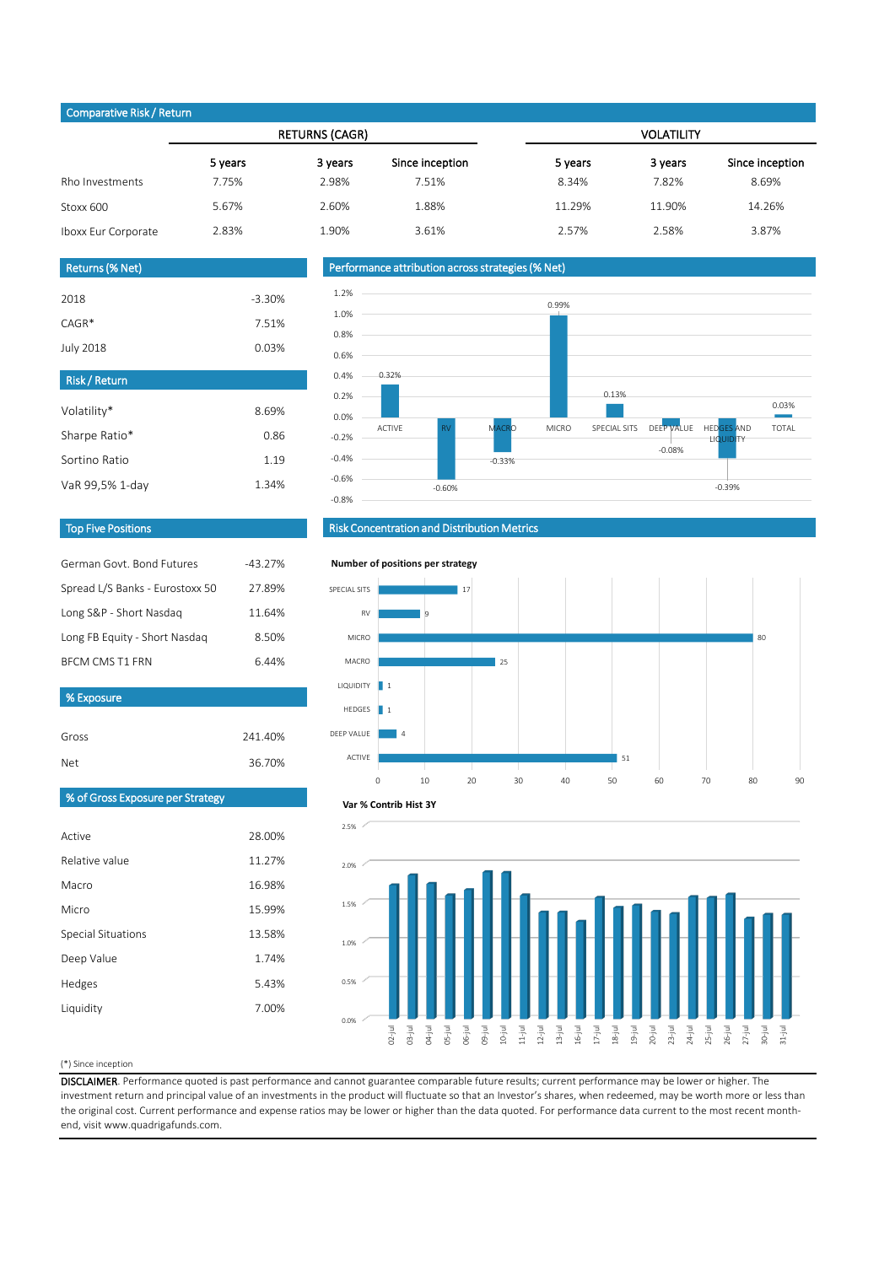#### (\*) Since inception

DISCLAIMER. Performance quoted is past performance and cannot guarantee comparable future results; current performance may be lower or higher. The investment return and principal value of an investments in the product will fluctuate so that an Investor's shares, when redeemed, may be worth more or less than the original cost. Current performance and expense ratios may be lower or higher than the data quoted. For performance data current to the most recent monthend, visit www.quadrigafunds.com.

|                     |         | <b>RETURNS (CAGR)</b> |                 | <b>VOLATILITY</b> |         |                 |  |  |
|---------------------|---------|-----------------------|-----------------|-------------------|---------|-----------------|--|--|
|                     | 5 years | 3 years               | Since inception | 5 years           | 3 years | Since inception |  |  |
| Rho Investments     | 7.75%   | 2.98%                 | 7.51%           | 8.34%             | 7.82%   | 8.69%           |  |  |
| Stoxx 600           | 5.67%   | 2.60%                 | 1.88%           | 11.29%            | 11.90%  | 14.26%          |  |  |
| Iboxx Eur Corporate | 2.83%   | 1.90%                 | 3.61%           | 2.57%             | 2.58%   | 3.87%           |  |  |

1.74%

5.43%

7.00%

| vo Liposare                      |         |
|----------------------------------|---------|
|                                  |         |
| Gross                            | 241.40% |
| <b>Net</b>                       | 36.70%  |
|                                  |         |
| % of Gross Exposure per Strategy |         |
|                                  |         |
| Active                           | 28.00%  |
| Relative value                   | 11.27%  |
| Macro                            | 16.98%  |
| Micro                            | 15.99%  |
| <b>Special Situations</b>        | 13.58%  |
|                                  |         |

Deep Value

Hedges

Liquidity

| German Govt, Bond Futures       | $-43.27%$ |
|---------------------------------|-----------|
| Spread L/S Banks - Eurostoxx 50 | 27.89%    |
| Long S&P - Short Nasdaq         | 11.64%    |
| Long FB Equity - Short Nasdaq   | 8.50%     |
| <b>BFCM CMS T1 FRN</b>          | 6.44%     |

**% Exposure** 

| <b>Risk/Return</b> |       |
|--------------------|-------|
| Volatility*        | 8.69% |
| Sharpe Ratio*      | 0.86  |
| Sortino Ratio      | 1.19  |
| VaR 99,5% 1-day    | 1.34% |

| <b>Returns (% Net)</b> |          |
|------------------------|----------|
| 2018                   | $-3.30%$ |
| $CAGR*$                | 7.51%    |
| <b>July 2018</b>       | 0.03%    |

### Top Five Positions

### Risk Concentration and Distribution Metrics

### Performance attribution across strategies (% Net)

### Comparative Risk / Return









#### **Var % Contrib Hist 3Y**